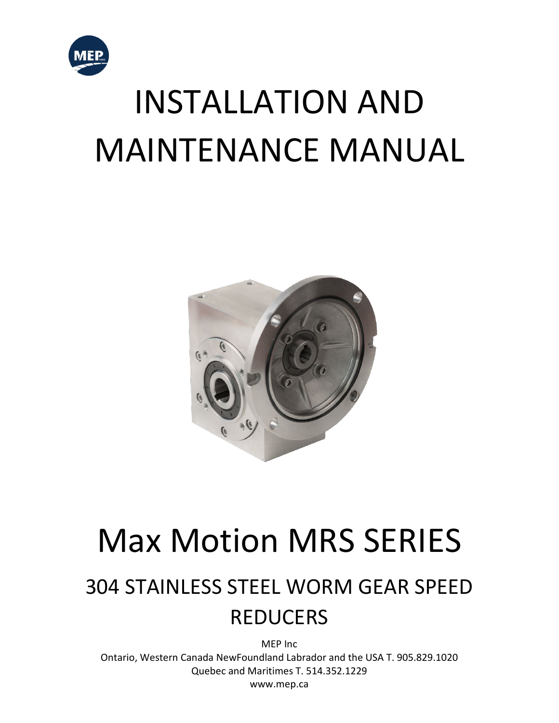

# INSTALLATION AND MAINTENANCE MANUAL



## Max Motion MRS SERIES

### 304 STAINLESS STEEL WORM GEAR SPEED REDUCERS

MEP Inc Ontario, Western Canada NewFoundland Labrador and the USA T. 905.829.1020 Quebec and Maritimes T. 514.352.1229 www.mep.ca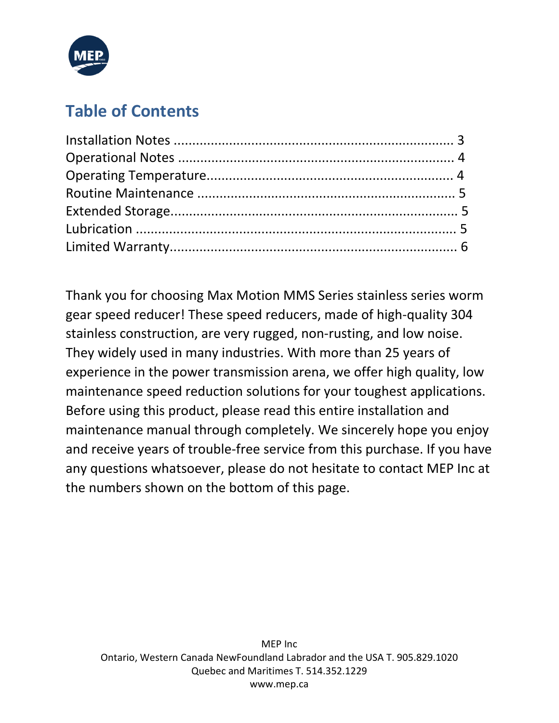

#### **Table of Contents**

Thank you for choosing Max Motion MMS Series stainless series worm gear speed reducer! These speed reducers, made of high-quality 304 stainless construction, are very rugged, non-rusting, and low noise. They widely used in many industries. With more than 25 years of experience in the power transmission arena, we offer high quality, low maintenance speed reduction solutions for your toughest applications. Before using this product, please read this entire installation and maintenance manual through completely. We sincerely hope you enjoy and receive years of trouble-free service from this purchase. If you have any questions whatsoever, please do not hesitate to contact MEP Inc at the numbers shown on the bottom of this page.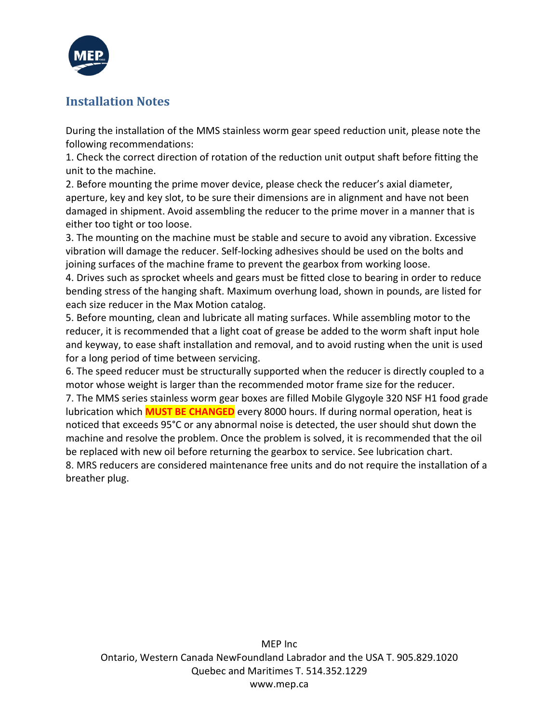

#### **Installation Notes**

During the installation of the MMS stainless worm gear speed reduction unit, please note the following recommendations:

1. Check the correct direction of rotation of the reduction unit output shaft before fitting the unit to the machine.

2. Before mounting the prime mover device, please check the reducer's axial diameter, aperture, key and key slot, to be sure their dimensions are in alignment and have not been damaged in shipment. Avoid assembling the reducer to the prime mover in a manner that is either too tight or too loose.

3. The mounting on the machine must be stable and secure to avoid any vibration. Excessive vibration will damage the reducer. Self-locking adhesives should be used on the bolts and joining surfaces of the machine frame to prevent the gearbox from working loose.

4. Drives such as sprocket wheels and gears must be fitted close to bearing in order to reduce bending stress of the hanging shaft. Maximum overhung load, shown in pounds, are listed for each size reducer in the Max Motion catalog.

5. Before mounting, clean and lubricate all mating surfaces. While assembling motor to the reducer, it is recommended that a light coat of grease be added to the worm shaft input hole and keyway, to ease shaft installation and removal, and to avoid rusting when the unit is used for a long period of time between servicing.

6. The speed reducer must be structurally supported when the reducer is directly coupled to a motor whose weight is larger than the recommended motor frame size for the reducer.

7. The MMS series stainless worm gear boxes are filled Mobile Glygoyle 320 NSF H1 food grade lubrication which **MUST BE CHANGED** every 8000 hours. If during normal operation, heat is noticed that exceeds 95°C or any abnormal noise is detected, the user should shut down the machine and resolve the problem. Once the problem is solved, it is recommended that the oil be replaced with new oil before returning the gearbox to service. See lubrication chart. 8. MRS reducers are considered maintenance free units and do not require the installation of a breather plug.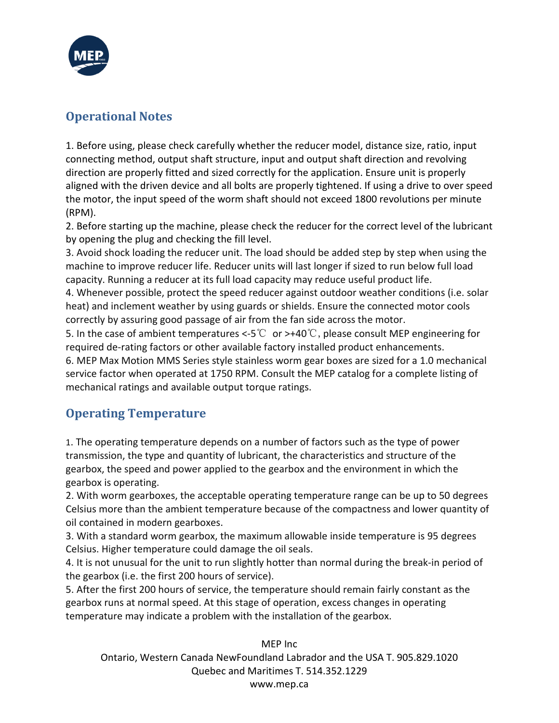

#### **Operational Notes**

1. Before using, please check carefully whether the reducer model, distance size, ratio, input connecting method, output shaft structure, input and output shaft direction and revolving direction are properly fitted and sized correctly for the application. Ensure unit is properly aligned with the driven device and all bolts are properly tightened. If using a drive to over speed the motor, the input speed of the worm shaft should not exceed 1800 revolutions per minute (RPM).

2. Before starting up the machine, please check the reducer for the correct level of the lubricant by opening the plug and checking the fill level.

3. Avoid shock loading the reducer unit. The load should be added step by step when using the machine to improve reducer life. Reducer units will last longer if sized to run below full load capacity. Running a reducer at its full load capacity may reduce useful product life.

4. Whenever possible, protect the speed reducer against outdoor weather conditions (i.e. solar heat) and inclement weather by using guards or shields. Ensure the connected motor cools correctly by assuring good passage of air from the fan side across the motor.

5. In the case of ambient temperatures <-5℃ or >+40℃, please consult MEP engineering for required de-rating factors or other available factory installed product enhancements. 6. MEP Max Motion MMS Series style stainless worm gear boxes are sized for a 1.0 mechanical service factor when operated at 1750 RPM. Consult the MEP catalog for a complete listing of mechanical ratings and available output torque ratings.

#### **Operating Temperature**

1. The operating temperature depends on a number of factors such as the type of power transmission, the type and quantity of lubricant, the characteristics and structure of the gearbox, the speed and power applied to the gearbox and the environment in which the gearbox is operating.

2. With worm gearboxes, the acceptable operating temperature range can be up to 50 degrees Celsius more than the ambient temperature because of the compactness and lower quantity of oil contained in modern gearboxes.

3. With a standard worm gearbox, the maximum allowable inside temperature is 95 degrees Celsius. Higher temperature could damage the oil seals.

4. It is not unusual for the unit to run slightly hotter than normal during the break-in period of the gearbox (i.e. the first 200 hours of service).

5. After the first 200 hours of service, the temperature should remain fairly constant as the gearbox runs at normal speed. At this stage of operation, excess changes in operating temperature may indicate a problem with the installation of the gearbox.

MEP Inc Ontario, Western Canada NewFoundland Labrador and the USA T. 905.829.1020 Quebec and Maritimes T. 514.352.1229 www.mep.ca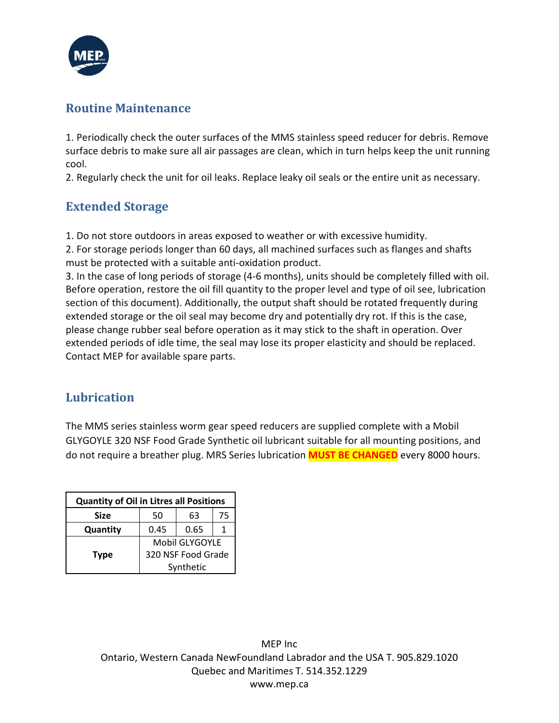

#### **Routine Maintenance**

1. Periodically check the outer surfaces of the MMS stainless speed reducer for debris. Remove surface debris to make sure all air passages are clean, which in turn helps keep the unit running cool.

2. Regularly check the unit for oil leaks. Replace leaky oil seals or the entire unit as necessary.

#### **Extended Storage**

1. Do not store outdoors in areas exposed to weather or with excessive humidity.

2. For storage periods longer than 60 days, all machined surfaces such as flanges and shafts must be protected with a suitable anti-oxidation product.

3. In the case of long periods of storage (4-6 months), units should be completely filled with oil. Before operation, restore the oil fill quantity to the proper level and type of oil see, lubrication section of this document). Additionally, the output shaft should be rotated frequently during extended storage or the oil seal may become dry and potentially dry rot. If this is the case, please change rubber seal before operation as it may stick to the shaft in operation. Over extended periods of idle time, the seal may lose its proper elasticity and should be replaced. Contact MEP for available spare parts.

#### **Lubrication**

The MMS series stainless worm gear speed reducers are supplied complete with a Mobil GLYGOYLE 320 NSF Food Grade Synthetic oil lubricant suitable for all mounting positions, and do not require a breather plug. MRS Series lubrication **MUST BE CHANGED** every 8000 hours.

| <b>Quantity of Oil in Litres all Positions</b> |                                                   |      |    |  |
|------------------------------------------------|---------------------------------------------------|------|----|--|
| <b>Size</b>                                    | 50                                                | 63   | 75 |  |
| Quantity                                       | 0.45                                              | 0.65 |    |  |
|                                                | Mobil GLYGOYLE<br>320 NSF Food Grade<br>Synthetic |      |    |  |
| <b>Type</b>                                    |                                                   |      |    |  |
|                                                |                                                   |      |    |  |